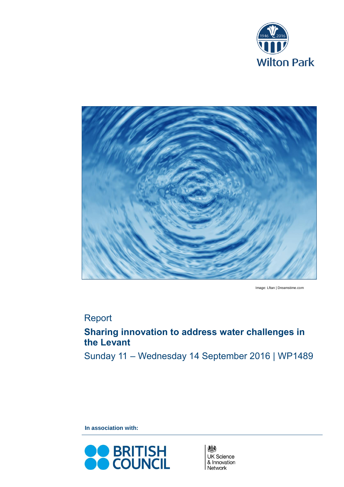



Image: Lftan | Dreamstime.com

# Report

# **Sharing innovation to address water challenges in the Levant**

Sunday 11 – Wednesday 14 September 2016 | WP1489

**In association with:**



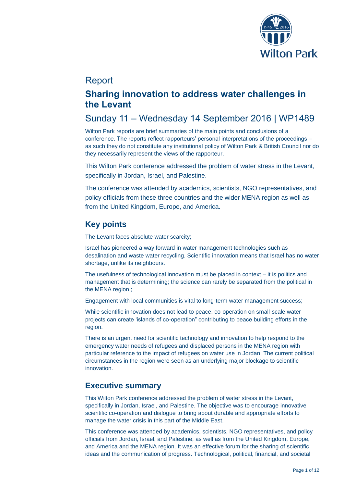

# Report

# **Sharing innovation to address water challenges in the Levant**

# Sunday 11 – Wednesday 14 September 2016 | WP1489

Wilton Park reports are brief summaries of the main points and conclusions of a conference. The reports reflect rapporteurs' personal interpretations of the proceedings – as such they do not constitute any institutional policy of Wilton Park & British Council nor do they necessarily represent the views of the rapporteur.

This Wilton Park conference addressed the problem of water stress in the Levant, specifically in Jordan, Israel, and Palestine.

The conference was attended by academics, scientists, NGO representatives, and policy officials from these three countries and the wider MENA region as well as from the United Kingdom, Europe, and America.

# **Key points**

The Levant faces absolute water scarcity;

Israel has pioneered a way forward in water management technologies such as desalination and waste water recycling. Scientific innovation means that Israel has no water shortage, unlike its neighbours.;

The usefulness of technological innovation must be placed in context – it is politics and management that is determining; the science can rarely be separated from the political in the MENA region.;

Engagement with local communities is vital to long-term water management success;

While scientific innovation does not lead to peace, co-operation on small-scale water projects can create 'islands of co-operation" contributing to peace building efforts in the region.

There is an urgent need for scientific technology and innovation to help respond to the emergency water needs of refugees and displaced persons in the MENA region with particular reference to the impact of refugees on water use in Jordan. The current political circumstances in the region were seen as an underlying major blockage to scientific innovation.

## **Executive summary**

This Wilton Park conference addressed the problem of water stress in the Levant, specifically in Jordan, Israel, and Palestine. The objective was to encourage innovative scientific co-operation and dialogue to bring about durable and appropriate efforts to manage the water crisis in this part of the Middle East.

This conference was attended by academics, scientists, NGO representatives, and policy officials from Jordan, Israel, and Palestine, as well as from the United Kingdom, Europe, and America and the MENA region. It was an effective forum for the sharing of scientific ideas and the communication of progress. Technological, political, financial, and societal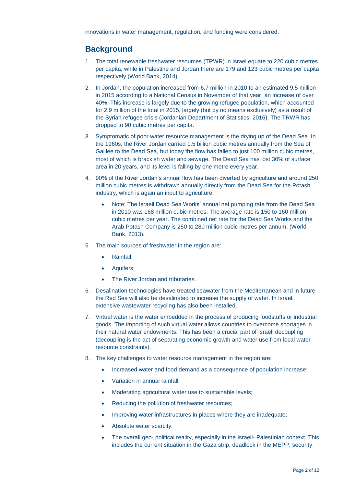innovations in water management, regulation, and funding were considered.

# **Background**

- 1. The total renewable freshwater resources (TRWR) in Israel equate to 220 cubic metres per capita, while in Palestine and Jordan there are 179 and 123 cubic metres per capita respectively (World Bank, 2014).
- 2. In Jordan, the population increased from 6.7 million in 2010 to an estimated 9.5 million in 2015 according to a National Census in November of that year, an increase of over 40%. This increase is largely due to the growing refugee population, which accounted for 2.9 million of the total in 2015, largely (but by no means exclusively) as a result of the Syrian refugee crisis (Jordanian Department of Statistics, 2016). The TRWR has dropped to 90 cubic metres per capita.
- 3. Symptomatic of poor water resource management is the drying up of the Dead Sea. In the 1960s, the River Jordan carried 1.5 billion cubic metres annually from the Sea of Galilee to the Dead Sea, but today the flow has fallen to just 100 million cubic metres, most of which is brackish water and sewage. The Dead Sea has lost 30% of surface area in 20 years, and its level is falling by one metre every year.
- 4. 90% of the River Jordan's annual flow has been diverted by agriculture and around 250 million cubic metres is withdrawn annually directly from the Dead Sea for the Potash industry, which is again an input to agriculture.
	- Note: The Israeli Dead Sea Works' annual net pumping rate from the Dead Sea in 2010 was 168 million cubic metres. The average rate is 150 to 160 million cubic metres per year. The combined net rate for the Dead Sea Works and the Arab Potash Company is 250 to 280 million cubic metres per annum. (World Bank, 2013).
- 5. The main sources of freshwater in the region are:
	- Rainfall;
	- Aquifers;
	- The River Jordan and tributaries.
- 6. Desalination technologies have treated seawater from the Mediterranean and in future the Red Sea will also be desalinated to increase the supply of water. In Israel, extensive wastewater recycling has also been installed.
- 7. Virtual water is the water embedded in the process of producing foodstuffs or industrial goods. The importing of such virtual water allows countries to overcome shortages in their natural water endowments. This has been a crucial part of Israeli decoupling (decoupling is the act of separating economic growth and water use from local water resource constraints).
- 8. The key challenges to water resource management in the region are:
	- Increased water and food demand as a consequence of population increase;
	- Variation in annual rainfall;
	- Moderating agricultural water use to sustainable levels;
	- Reducing the pollution of freshwater resources;
	- Improving water infrastructures in places where they are inadequate;
	- Absolute water scarcity.
	- The overall geo- political reality, especially in the Israeli- Palestinian context. This includes the current situation in the Gaza strip, deadlock in the MEPP, security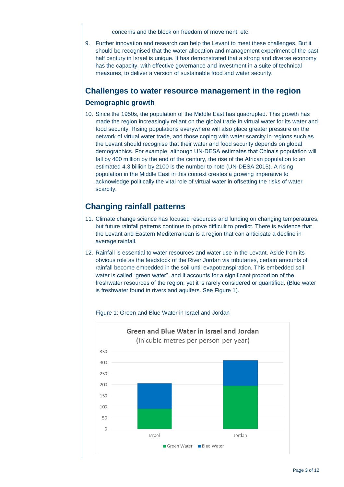concerns and the block on freedom of movement. etc.

9. Further innovation and research can help the Levant to meet these challenges. But it should be recognised that the water allocation and management experiment of the past half century in Israel is unique. It has demonstrated that a strong and diverse economy has the capacity, with effective governance and investment in a suite of technical measures, to deliver a version of sustainable food and water security.

### **Challenges to water resource management in the region**

### **Demographic growth**

10. Since the 1950s, the population of the Middle East has quadrupled. This growth has made the region increasingly reliant on the global trade in virtual water for its water and food security. Rising populations everywhere will also place greater pressure on the network of virtual water trade, and those coping with water scarcity in regions such as the Levant should recognise that their water and food security depends on global demographics. For example, although UN-DESA estimates that China's population will fall by 400 million by the end of the century, the rise of the African population to an estimated 4.3 billion by 2100 is the number to note (UN-DESA 2015). A rising population in the Middle East in this context creates a growing imperative to acknowledge politically the vital role of virtual water in offsetting the risks of water scarcity.

## **Changing rainfall patterns**

- 11. Climate change science has focused resources and funding on changing temperatures, but future rainfall patterns continue to prove difficult to predict. There is evidence that the Levant and Eastern Mediterranean is a region that can anticipate a decline in average rainfall.
- 12. Rainfall is essential to water resources and water use in the Levant. Aside from its obvious role as the feedstock of the River Jordan via tributaries, certain amounts of rainfall become embedded in the soil until evapotranspiration. This embedded soil water is called "green water", and it accounts for a significant proportion of the freshwater resources of the region; yet it is rarely considered or quantified. (Blue water is freshwater found in rivers and aquifers. See Figure 1).



### Figure 1: Green and Blue Water in Israel and Jordan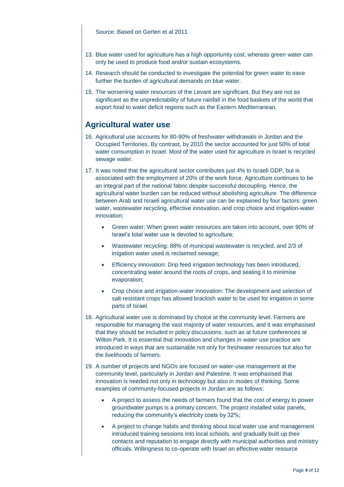#### Source: Based on Gerten et al 2011

- 13. Blue water used for agriculture has a high opportunity cost, whereas green water can only be used to produce food and/or sustain ecosystems.
- 14. Research should be conducted to investigate the potential for green water to ease further the burden of agricultural demands on blue water.
- 15. The worsening water resources of the Levant are significant. But they are not as significant as the unpredictability of future rainfall in the food baskets of the world that export food to water deficit regions such as the Eastern Mediterranean.

### **Agricultural water use**

- 16. Agricultural use accounts for 80-90% of freshwater withdrawals in Jordan and the Occupied Territories. By contrast, by 2010 the sector accounted for just 50% of total water consumption in Israel. Most of the water used for agriculture in Israel is recycled sewage water.
- 17. It was noted that the agricultural sector contributes just 4% to Israeli GDP, but is associated with the employment of 20% of the work force. Agriculture continues to be an integral part of the national fabric despite successful decoupling. Hence, the agricultural water burden can be reduced without abolishing agriculture. The difference between Arab and Israeli agricultural water use can be explained by four factors: green water, wastewater recycling, effective innovation, and crop choice and irrigation-water innovation:
	- Green water: When green water resources are taken into account, over 90% of Israel's total water use is devoted to agriculture;
	- Wastewater recycling: 88% of municipal wastewater is recycled, and 2/3 of irrigation water used is reclaimed sewage;
	- Efficiency innovation: Drip feed irrigation technology has been introduced, concentrating water around the roots of crops, and sealing it to minimise evaporation;
	- Crop choice and irrigation-water innovation: The development and selection of salt-resistant crops has allowed brackish water to be used for irrigation in some parts of Israel.
- 18. Agricultural water use is dominated by choice at the community level. Farmers are responsible for managing the vast majority of water resources, and it was emphasised that they should be included in policy discussions, such as at future conferences at Wilton Park. It is essential that innovation and changes in water-use practice are introduced in ways that are sustainable not only for freshwater resources but also for the livelihoods of farmers.
- 19. A number of projects and NGOs are focused on water-use management at the community level, particularly in Jordan and Palestine. It was emphasised that innovation is needed not only in technology but also in modes of thinking. Some examples of community-focused projects in Jordan are as follows:
	- A project to assess the needs of farmers found that the cost of energy to power groundwater pumps is a primary concern. The project installed solar panels, reducing the community's electricity costs by 32%;
	- A project to change habits and thinking about local water use and management introduced training sessions into local schools, and gradually built up their contacts and reputation to engage directly with municipal authorities and ministry officials. Willingness to co-operate with Israel on effective water resource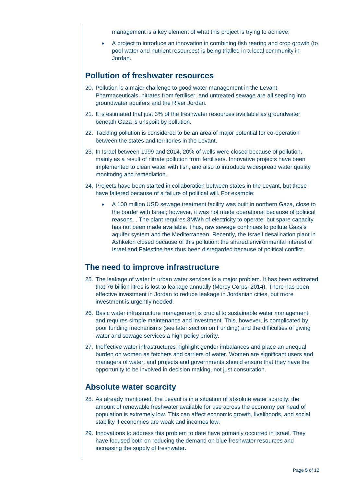management is a key element of what this project is trying to achieve;

 A project to introduce an innovation in combining fish rearing and crop growth (to pool water and nutrient resources) is being trialled in a local community in Jordan.

## **Pollution of freshwater resources**

- 20. Pollution is a major challenge to good water management in the Levant. Pharmaceuticals, nitrates from fertiliser, and untreated sewage are all seeping into groundwater aquifers and the River Jordan.
- 21. It is estimated that just 3% of the freshwater resources available as groundwater beneath Gaza is unspoilt by pollution.
- 22. Tackling pollution is considered to be an area of major potential for co-operation between the states and territories in the Levant.
- 23. In Israel between 1999 and 2014, 20% of wells were closed because of pollution, mainly as a result of nitrate pollution from fertilisers. Innovative projects have been implemented to clean water with fish, and also to introduce widespread water quality monitoring and remediation.
- 24. Projects have been started in collaboration between states in the Levant, but these have faltered because of a failure of political will. For example:
	- A 100 million USD sewage treatment facility was built in northern Gaza, close to the border with Israel; however, it was not made operational because of political reasons. . The plant requires 3MWh of electricity to operate, but spare capacity has not been made available. Thus, raw sewage continues to pollute Gaza's aquifer system and the Mediterranean. Recently, the Israeli desalination plant in Ashkelon closed because of this pollution: the shared environmental interest of Israel and Palestine has thus been disregarded because of political conflict.

### **The need to improve infrastructure**

- 25. The leakage of water in urban water services is a major problem. It has been estimated that 76 billion litres is lost to leakage annually (Mercy Corps, 2014). There has been effective investment in Jordan to reduce leakage in Jordanian cities, but more investment is urgently needed.
- 26. Basic water infrastructure management is crucial to sustainable water management, and requires simple maintenance and investment. This, however, is complicated by poor funding mechanisms (see later section on Funding) and the difficulties of giving water and sewage services a high policy priority.
- 27. Ineffective water infrastructures highlight gender imbalances and place an unequal burden on women as fetchers and carriers of water. Women are significant users and managers of water, and projects and governments should ensure that they have the opportunity to be involved in decision making, not just consultation.

### **Absolute water scarcity**

- 28. As already mentioned, the Levant is in a situation of absolute water scarcity: the amount of renewable freshwater available for use across the economy per head of population is extremely low. This can affect economic growth, livelihoods, and social stability if economies are weak and incomes low.
- 29. Innovations to address this problem to date have primarily occurred in Israel. They have focused both on reducing the demand on blue freshwater resources and increasing the supply of freshwater.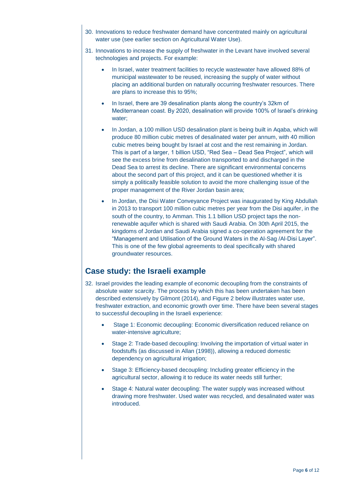- 30. Innovations to reduce freshwater demand have concentrated mainly on agricultural water use (see earlier section on Agricultural Water Use).
- 31. Innovations to increase the supply of freshwater in the Levant have involved several technologies and projects. For example:
	- In Israel, water treatment facilities to recycle wastewater have allowed 88% of municipal wastewater to be reused, increasing the supply of water without placing an additional burden on naturally occurring freshwater resources. There are plans to increase this to 95%;
	- In Israel, there are 39 desalination plants along the country's 32km of Mediterranean coast. By 2020, desalination will provide 100% of Israel's drinking water;
	- In Jordan, a 100 million USD desalination plant is being built in Aqaba, which will produce 80 million cubic metres of desalinated water per annum, with 40 million cubic metres being bought by Israel at cost and the rest remaining in Jordan. This is part of a larger, 1 billion USD, "Red Sea – Dead Sea Project", which will see the excess brine from desalination transported to and discharged in the Dead Sea to arrest its decline. There are significant environmental concerns about the second part of this project, and it can be questioned whether it is simply a politically feasible solution to avoid the more challenging issue of the proper management of the River Jordan basin area;
	- In Jordan, the Disi Water Conveyance Project was inaugurated by King Abdullah in 2013 to transport 100 million cubic metres per year from the Disi aquifer, in the south of the country, to Amman. This 1.1 billion USD project taps the nonrenewable aquifer which is shared with Saudi Arabia. On 30th April 2015, the kingdoms of Jordan and Saudi Arabia signed a co-operation agreement for the "Management and Utilisation of the Ground Waters in the Al-Sag /Al-Disi Layer". This is one of the few global agreements to deal specifically with shared groundwater resources.

## **Case study: the Israeli example**

- 32. Israel provides the leading example of economic decoupling from the constraints of absolute water scarcity. The process by which this has been undertaken has been described extensively by Gilmont (2014), and Figure 2 below illustrates water use, freshwater extraction, and economic growth over time. There have been several stages to successful decoupling in the Israeli experience:
	- Stage 1: Economic decoupling: Economic diversification reduced reliance on water-intensive agriculture;
	- Stage 2: Trade-based decoupling: Involving the importation of virtual water in foodstuffs (as discussed in Allan (1998)), allowing a reduced domestic dependency on agricultural irrigation;
	- Stage 3: Efficiency-based decoupling: Including greater efficiency in the agricultural sector, allowing it to reduce its water needs still further;
	- Stage 4: Natural water decoupling: The water supply was increased without drawing more freshwater. Used water was recycled, and desalinated water was introduced.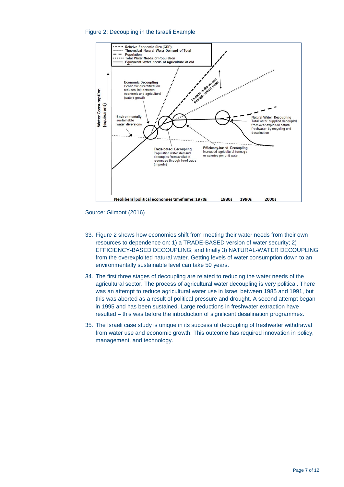### Figure 2: Decoupling in the Israeli Example



#### Source: Gilmont (2016)

- 33. Figure 2 shows how economies shift from meeting their water needs from their own resources to dependence on: 1) a TRADE-BASED version of water security; 2) EFFICIENCY-BASED DECOUPLING; and finally 3) NATURAL-WATER DECOUPLING from the overexploited natural water. Getting levels of water consumption down to an environmentally sustainable level can take 50 years.
- 34. The first three stages of decoupling are related to reducing the water needs of the agricultural sector. The process of agricultural water decoupling is very political. There was an attempt to reduce agricultural water use in Israel between 1985 and 1991, but this was aborted as a result of political pressure and drought. A second attempt began in 1995 and has been sustained. Large reductions in freshwater extraction have resulted – this was before the introduction of significant desalination programmes.
- 35. The Israeli case study is unique in its successful decoupling of freshwater withdrawal from water use and economic growth. This outcome has required innovation in policy, management, and technology.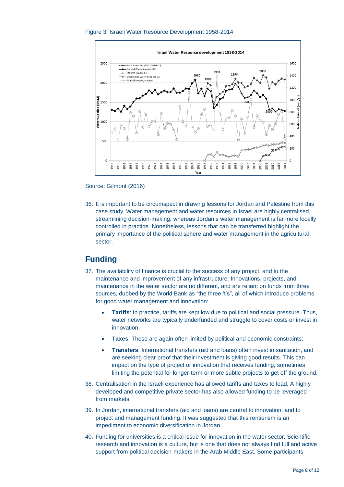### Figure 3: Israeli Water Resource Development 1958-2014



Source: Gilmont (2016)

36. It is important to be circumspect in drawing lessons for Jordan and Palestine from this case study. Water management and water resources in Israel are highly centralised, streamlining decision-making, whereas Jordan's water management is far more locally controlled in practice. Nonetheless, lessons that can be transferred highlight the primary importance of the political sphere and water management in the agricultural sector.

## **Funding**

- 37. The availability of finance is crucial to the success of any project, and to the maintenance and improvement of any infrastructure. Innovations, projects, and maintenance in the water sector are no different, and are reliant on funds from three sources, dubbed by the World Bank as "the three 't's", all of which introduce problems for good water management and innovation:
	- **Tariffs**: In practice, tariffs are kept low due to political and social pressure. Thus, water networks are typically underfunded and struggle to cover costs or invest in innovation;
	- **Taxes**: These are again often limited by political and economic constraints;
	- **Transfers**: International transfers (aid and loans) often invest in sanitation, and are seeking clear proof that their investment is giving good results. This can impact on the type of project or innovation that receives funding, sometimes limiting the potential for longer-term or more subtle projects to get off the ground.
- 38. Centralisation in the Israeli experience has allowed tariffs and taxes to lead. A highly developed and competitive private sector has also allowed funding to be leveraged from markets.
- 39. In Jordan, international transfers (aid and loans) are central to innovation, and to project and management funding. It was suggested that this rentierism is an impediment to economic diversification in Jordan.
- 40. Funding for universities is a critical issue for innovation in the water sector. Scientific research and innovation is a culture, but is one that does not always find full and active support from political decision-makers in the Arab Middle East. Some participants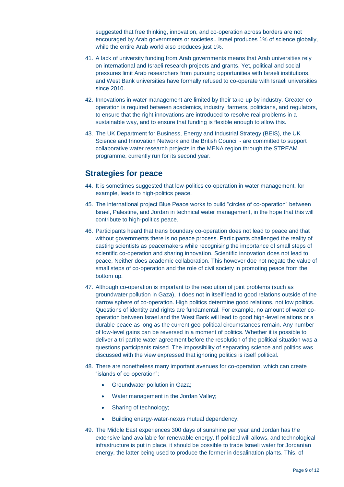suggested that free thinking, innovation, and co-operation across borders are not encouraged by Arab governments or societies.. Israel produces 1% of science globally, while the entire Arab world also produces just 1%.

- 41. A lack of university funding from Arab governments means that Arab universities rely on international and Israeli research projects and grants. Yet, political and social pressures limit Arab researchers from pursuing opportunities with Israeli institutions, and West Bank universities have formally refused to co-operate with Israeli universities since 2010.
- 42. Innovations in water management are limited by their take-up by industry. Greater cooperation is required between academics, industry, farmers, politicians, and regulators, to ensure that the right innovations are introduced to resolve real problems in a sustainable way, and to ensure that funding is flexible enough to allow this.
- 43. The UK Department for Business, Energy and Industrial Strategy (BEIS), the UK Science and Innovation Network and the British Council - are committed to support collaborative water research projects in the MENA region through the STREAM programme, currently run for its second year.

### **Strategies for peace**

- 44. It is sometimes suggested that low-politics co-operation in water management, for example, leads to high-politics peace.
- 45. The international project Blue Peace works to build "circles of co-operation" between Israel, Palestine, and Jordan in technical water management, in the hope that this will contribute to high-politics peace.
- 46. Participants heard that trans boundary co-operation does not lead to peace and that without governments there is no peace process. Participants challenged the reality of casting scientists as peacemakers while recognising the importance of small steps of scientific co-operation and sharing innovation. Scientific innovation does not lead to peace, Neither does academic collaboration. This however doe not negate the value of small steps of co-operation and the role of civil society in promoting peace from the bottom up.
- 47. Although co-operation is important to the resolution of joint problems (such as groundwater pollution in Gaza), it does not in itself lead to good relations outside of the narrow sphere of co-operation. High politics determine good relations, not low politics. Questions of identity and rights are fundamental. For example, no amount of water cooperation between Israel and the West Bank will lead to good high-level relations or a durable peace as long as the current geo-political circumstances remain. Any number of low-level gains can be reversed in a moment of politics. Whether it is possible to deliver a tri partite water agreement before the resolution of the political situation was a questions participants raised. The impossibility of separating science and politics was discussed with the view expressed that ignoring politics is itself political.
- 48. There are nonetheless many important avenues for co-operation, which can create "islands of co-operation":
	- Groundwater pollution in Gaza;
	- Water management in the Jordan Valley;
	- Sharing of technology;
	- Building energy-water-nexus mutual dependency.
- 49. The Middle East experiences 300 days of sunshine per year and Jordan has the extensive land available for renewable energy. If political will allows, and technological infrastructure is put in place, it should be possible to trade Israeli water for Jordanian energy, the latter being used to produce the former in desalination plants. This, of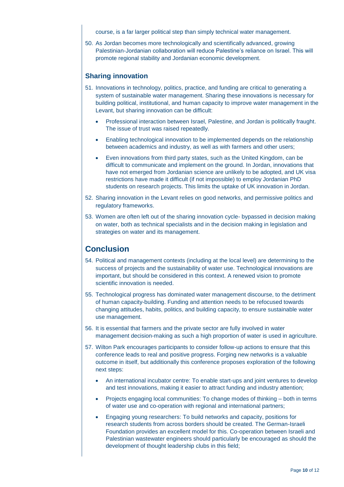course, is a far larger political step than simply technical water management.

50. As Jordan becomes more technologically and scientifically advanced, growing Palestinian-Jordanian collaboration will reduce Palestine's reliance on Israel. This will promote regional stability and Jordanian economic development.

### **Sharing innovation**

- 51. Innovations in technology, politics, practice, and funding are critical to generating a system of sustainable water management. Sharing these innovations is necessary for building political, institutional, and human capacity to improve water management in the Levant, but sharing innovation can be difficult:
	- Professional interaction between Israel, Palestine, and Jordan is politically fraught. The issue of trust was raised repeatedly.
	- Enabling technological innovation to be implemented depends on the relationship between academics and industry, as well as with farmers and other users;
	- Even innovations from third party states, such as the United Kingdom, can be difficult to communicate and implement on the ground. In Jordan, innovations that have not emerged from Jordanian science are unlikely to be adopted, and UK visa restrictions have made it difficult (if not impossible) to employ Jordanian PhD students on research projects. This limits the uptake of UK innovation in Jordan.
- 52. Sharing innovation in the Levant relies on good networks, and permissive politics and regulatory frameworks.
- 53. Women are often left out of the sharing innovation cycle- bypassed in decision making on water, both as technical specialists and in the decision making in legislation and strategies on water and its management.

## **Conclusion**

- 54. Political and management contexts (including at the local level) are determining to the success of projects and the sustainability of water use. Technological innovations are important, but should be considered in this context. A renewed vision to promote scientific innovation is needed.
- 55. Technological progress has dominated water management discourse, to the detriment of human capacity-building. Funding and attention needs to be refocused towards changing attitudes, habits, politics, and building capacity, to ensure sustainable water use management.
- 56. It is essential that farmers and the private sector are fully involved in water management decision-making as such a high proportion of water is used in agriculture.
- 57. Wilton Park encourages participants to consider follow-up actions to ensure that this conference leads to real and positive progress. Forging new networks is a valuable outcome in itself, but additionally this conference proposes exploration of the following next steps:
	- An international incubator centre: To enable start-ups and joint ventures to develop and test innovations, making it easier to attract funding and industry attention;
	- Projects engaging local communities: To change modes of thinking both in terms of water use and co-operation with regional and international partners;
	- Engaging young researchers: To build networks and capacity, positions for research students from across borders should be created. The German-Israeli Foundation provides an excellent model for this. Co-operation between Israeli and Palestinian wastewater engineers should particularly be encouraged as should the development of thought leadership clubs in this field;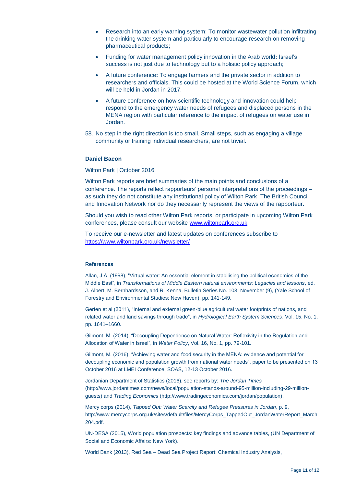- Research into an early warning system: To monitor wastewater pollution infiltrating the drinking water system and particularly to encourage research on removing pharmaceutical products;
- Funding for water management policy innovation in the Arab world**:** Israel's success is not just due to technology but to a holistic policy approach;
- A future conference**:** To engage farmers and the private sector in addition to researchers and officials. This could be hosted at the World Science Forum, which will be held in Jordan in 2017.
- A future conference on how scientific technology and innovation could help respond to the emergency water needs of refugees and displaced persons in the MENA region with particular reference to the impact of refugees on water use in Jordan.
- 58. No step in the right direction is too small. Small steps, such as engaging a village community or training individual researchers, are not trivial.

#### **Daniel Bacon**

#### Wilton Park | October 2016

Wilton Park reports are brief summaries of the main points and conclusions of a conference. The reports reflect rapporteurs' personal interpretations of the proceedings – as such they do not constitute any institutional policy of Wilton Park, The British Council and Innovation Network nor do they necessarily represent the views of the rapporteur.

Should you wish to read other Wilton Park reports, or participate in upcoming Wilton Park conferences, please consult our website [www.wiltonpark.org.uk](http://www.wiltonpark.org.uk/)

To receive our e-newsletter and latest updates on conferences subscribe to <https://www.wiltonpark.org.uk/newsletter/>

#### **References**

Allan, J.A. (1998), "Virtual water: An essential element in stabilising the political economies of the Middle East", in *Transformations of Middle Eastern natural environments: Legacies and lessons*, ed. J. Albert, M. Bernhardsson, and R. Kenna, Bulletin Series No. 103, November (9), (Yale School of Forestry and Environmental Studies: New Haven), pp. 141-149.

Gerten et al (2011), "Internal and external green-blue agricultural water footprints of nations, and related water and land savings through trade", in *Hydrological Earth System Sciences*, Vol. 15, No. 1, pp. 1641–1660.

Gilmont, M. (2014), "Decoupling Dependence on Natural Water: Reflexivity in the Regulation and Allocation of Water in Israel", in *Water Policy*, Vol. 16, No. 1, pp. 79-101.

Gilmont, M. (2016), "Achieving water and food security in the MENA: evidence and potential for decoupling economic and population growth from national water needs", paper to be presented on 13 October 2016 at LMEI Conference, SOAS, 12-13 October 2016.

Jordanian Department of Statistics (2016), see reports by: *The Jordan Times* (http://www.jordantimes.com/news/local/population-stands-around-95-million-including-29-millionguests) and *Trading Economics* (http://www.tradingeconomics.com/jordan/population).

Mercy corps (2014), *Tapped Out: Water Scarcity and Refugee Pressures in Jordan*, p. 9, http://www.mercycorps.org.uk/sites/default/files/MercyCorps\_TappedOut\_JordanWaterReport\_March 204.pdf.

UN-DESA (2015), World population prospects: key findings and advance tables, (UN Department of Social and Economic Affairs: New York).

World Bank (2013), Red Sea – Dead Sea Project Report: Chemical Industry Analysis,